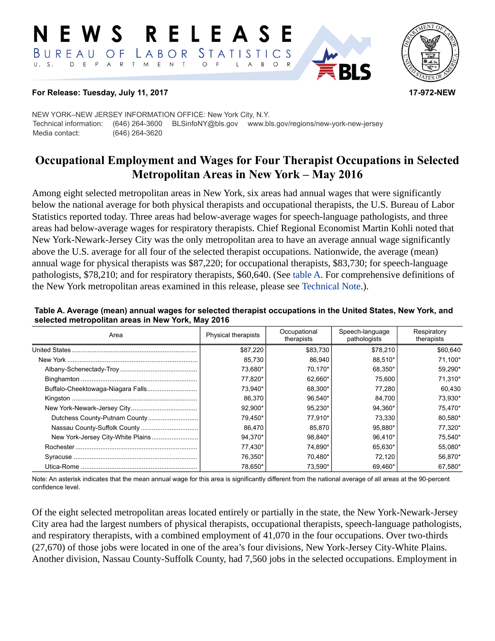#### RELEASE E W S STATISTICS BUREAU OF LABOR D E P A R T M E N T  $\circ$  $B$  $\circ$  $\mathsf{L}$  $\overline{A}$



#### **For Release: Tuesday, July 11, 2017 17-972-NEW**

NEW YORK–NEW JERSEY INFORMATION OFFICE: New York City, N.Y. Technical information: (646) 264-3600 BLSinfoNY@bls.gov www.bls.gov/regions/new-york-new-jersey Media contact: (646) 264-3620

# **Occupational Employment and Wages for Four Therapist Occupations in Selected Metropolitan Areas in New York – May 2016**

Among eight selected metropolitan areas in New York, six areas had annual wages that were significantly below the national average for both physical therapists and occupational therapists, the U.S. Bureau of Labor Statistics reported today. Three areas had below-average wages for speech-language pathologists, and three areas had below-average wages for respiratory therapists. Chief Regional Economist Martin Kohli noted that New York-Newark-Jersey City was the only metropolitan area to have an average annual wage significantly above the U.S. average for all four of the selected therapist occupations. Nationwide, the average (mean) annual wage for physical therapists was \$87,220; for occupational therapists, \$83,730; for speech-language pathologists, \$78,210; and for respiratory therapists, \$60,640. (See [table A.](#page-0-0) For comprehensive definitions of the New York metropolitan areas examined in this release, please see [Technical Note](#page-2-0).).

| Area                              | <b>Physical therapists</b> | Occupational<br>therapists | Speech-language<br>pathologists | Respiratory<br>therapists |
|-----------------------------------|----------------------------|----------------------------|---------------------------------|---------------------------|
| United States.                    | \$87,220                   | \$83,730                   | \$78,210                        | \$60,640                  |
|                                   | 85,730                     | 86.940                     | 88.510*                         | 71.100*                   |
|                                   | 73,680*                    | 70.170*                    | 68.350*                         | 59.290*                   |
|                                   | 77.820*                    | 62.660*                    | 75.600                          | 71.310*                   |
| Buffalo-Cheektowaga-Niagara Falls | 73.940*                    | 68.300*                    | 77.280                          | 60.430                    |
|                                   | 86,370                     | 96.540*                    | 84.700                          | 73,930*                   |
|                                   | 92,900*                    | 95.230*                    | 94.360*                         | 75,470*                   |
| Dutchess County-Putnam County     | 79,450*                    | 77.910*                    | 73.330                          | 80,580*                   |
|                                   | 86.470                     | 85.870                     | 95.880*                         | 77.320*                   |
| New York-Jersey City-White Plains | 94.370*                    | 98.840*                    | 96.410*                         | 75.540*                   |
|                                   | 77.430*                    | 74.890*                    | 65.630*                         | 55.080*                   |
|                                   | 76.350*                    | 70,480*                    | 72.120                          | 56,870*                   |
|                                   | 78.650*                    | 73,590*                    | 69.460*                         | 67.580*                   |

<span id="page-0-0"></span>**Table A. Average (mean) annual wages for selected therapist occupations in the United States, New York, and selected metropolitan areas in New York, May 2016** 

Note: An asterisk indicates that the mean annual wage for this area is significantly different from the national average of all areas at the 90-percent confidence level.

Of the eight selected metropolitan areas located entirely or partially in the state, the New York-Newark-Jersey City area had the largest numbers of physical therapists, occupational therapists, speech-language pathologists, and respiratory therapists, with a combined employment of 41,070 in the four occupations. Over two-thirds (27,670) of those jobs were located in one of the area's four divisions, New York-Jersey City-White Plains. Another division, Nassau County-Suffolk County, had 7,560 jobs in the selected occupations. Employment in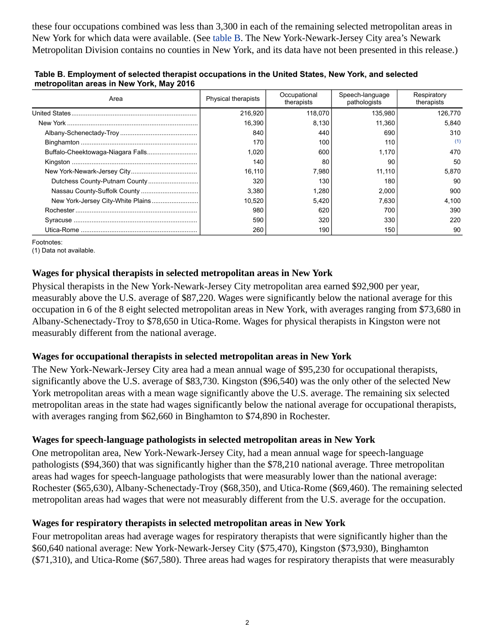these four occupations combined was less than 3,300 in each of the remaining selected metropolitan areas in New York for which data were available. (See [table B](#page-1-0). The New York-Newark-Jersey City area's Newark Metropolitan Division contains no counties in New York, and its data have not been presented in this release.)

| Area                              | <b>Physical therapists</b> | Occupational<br>therapists | Speech-language<br>pathologists | Respiratory<br>therapists |
|-----------------------------------|----------------------------|----------------------------|---------------------------------|---------------------------|
|                                   | 216,920                    | 118,070                    | 135.980                         | 126,770                   |
|                                   | 16,390                     | 8,130                      | 11,360                          | 5.840                     |
|                                   | 840                        | 440                        | 690                             | 310                       |
|                                   | 170                        | 100                        | 110                             | (1)                       |
|                                   | 1,020                      | 600                        | 1,170                           | 470                       |
|                                   | 140                        | 80                         | 90                              | 50                        |
|                                   | 16,110                     | 7,980                      | 11.110                          | 5.870                     |
|                                   | 320                        | 130                        | 180                             | 90                        |
| Nassau County-Suffolk County      | 3,380                      | 1,280                      | 2,000                           | 900                       |
| New York-Jersey City-White Plains | 10.520                     | 5,420                      | 7,630                           | 4.100                     |
|                                   | 980                        | 620                        | 700                             | 390                       |
|                                   | 590                        | 320                        | 330                             | 220                       |
|                                   | 260                        | 190                        | 150                             | 90                        |

<span id="page-1-0"></span>**Table B. Employment of selected therapist occupations in the United States, New York, and selected metropolitan areas in New York, May 2016** 

Footnotes:

<span id="page-1-1"></span>(1) Data not available.

# **Wages for physical therapists in selected metropolitan areas in New York**

Physical therapists in the New York-Newark-Jersey City metropolitan area earned \$92,900 per year, measurably above the U.S. average of \$87,220. Wages were significantly below the national average for this occupation in 6 of the 8 eight selected metropolitan areas in New York, with averages ranging from \$73,680 in Albany-Schenectady-Troy to \$78,650 in Utica-Rome. Wages for physical therapists in Kingston were not measurably different from the national average.

## **Wages for occupational therapists in selected metropolitan areas in New York**

The New York-Newark-Jersey City area had a mean annual wage of \$95,230 for occupational therapists, significantly above the U.S. average of \$83,730. Kingston (\$96,540) was the only other of the selected New York metropolitan areas with a mean wage significantly above the U.S. average. The remaining six selected metropolitan areas in the state had wages significantly below the national average for occupational therapists, with averages ranging from \$62,660 in Binghamton to \$74,890 in Rochester.

## **Wages for speech-language pathologists in selected metropolitan areas in New York**

One metropolitan area, New York-Newark-Jersey City, had a mean annual wage for speech-language pathologists (\$94,360) that was significantly higher than the \$78,210 national average. Three metropolitan areas had wages for speech-language pathologists that were measurably lower than the national average: Rochester (\$65,630), Albany-Schenectady-Troy (\$68,350), and Utica-Rome (\$69,460). The remaining selected metropolitan areas had wages that were not measurably different from the U.S. average for the occupation.

## **Wages for respiratory therapists in selected metropolitan areas in New York**

Four metropolitan areas had average wages for respiratory therapists that were significantly higher than the \$60,640 national average: New York-Newark-Jersey City (\$75,470), Kingston (\$73,930), Binghamton (\$71,310), and Utica-Rome (\$67,580). Three areas had wages for respiratory therapists that were measurably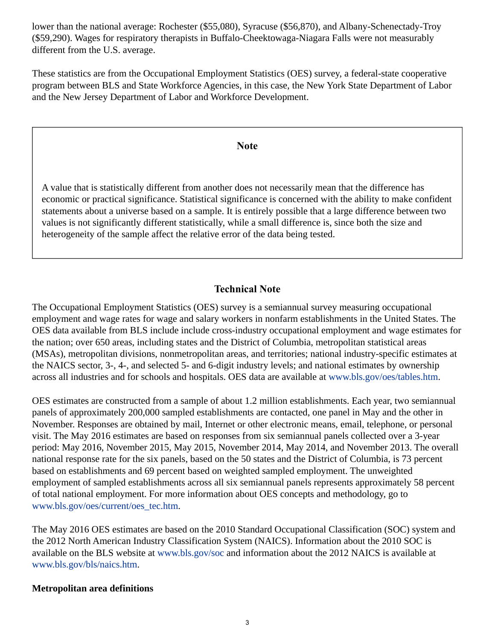lower than the national average: Rochester (\$55,080), Syracuse (\$56,870), and Albany-Schenectady-Troy (\$59,290). Wages for respiratory therapists in Buffalo-Cheektowaga-Niagara Falls were not measurably different from the U.S. average.

These statistics are from the Occupational Employment Statistics (OES) survey, a federal-state cooperative program between BLS and State Workforce Agencies, in this case, the New York State Department of Labor and the New Jersey Department of Labor and Workforce Development.

#### **Note**

A value that is statistically different from another does not necessarily mean that the difference has economic or practical significance. Statistical significance is concerned with the ability to make confident statements about a universe based on a sample. It is entirely possible that a large difference between two values is not significantly different statistically, while a small difference is, since both the size and heterogeneity of the sample affect the relative error of the data being tested.

# **Technical Note**

<span id="page-2-0"></span>The Occupational Employment Statistics (OES) survey is a semiannual survey measuring occupational employment and wage rates for wage and salary workers in nonfarm establishments in the United States. The OES data available from BLS include include cross-industry occupational employment and wage estimates for the nation; over 650 areas, including states and the District of Columbia, metropolitan statistical areas (MSAs), metropolitan divisions, nonmetropolitan areas, and territories; national industry-specific estimates at the NAICS sector, 3-, 4-, and selected 5- and 6-digit industry levels; and national estimates by ownership across all industries and for schools and hospitals. OES data are available at [www.bls.gov/oes/tables.htm](https://www.bls.gov/oes/tables.htm).

OES estimates are constructed from a sample of about 1.2 million establishments. Each year, two semiannual panels of approximately 200,000 sampled establishments are contacted, one panel in May and the other in November. Responses are obtained by mail, Internet or other electronic means, email, telephone, or personal visit. The May 2016 estimates are based on responses from six semiannual panels collected over a 3-year period: May 2016, November 2015, May 2015, November 2014, May 2014, and November 2013. The overall national response rate for the six panels, based on the 50 states and the District of Columbia, is 73 percent based on establishments and 69 percent based on weighted sampled employment. The unweighted employment of sampled establishments across all six semiannual panels represents approximately 58 percent of total national employment. For more information about OES concepts and methodology, go to [www.bls.gov/oes/current/oes\\_tec.htm](https://www.bls.gov/oes/current/oes_tec.htm).

The May 2016 OES estimates are based on the 2010 Standard Occupational Classification (SOC) system and the 2012 North American Industry Classification System (NAICS). Information about the 2010 SOC is available on the BLS website at [www.bls.gov/soc](https://www.bls.gov/soc) and information about the 2012 NAICS is available at [www.bls.gov/bls/naics.htm.](https://www.bls.gov/bls/naics.htm)

#### **Metropolitan area definitions**